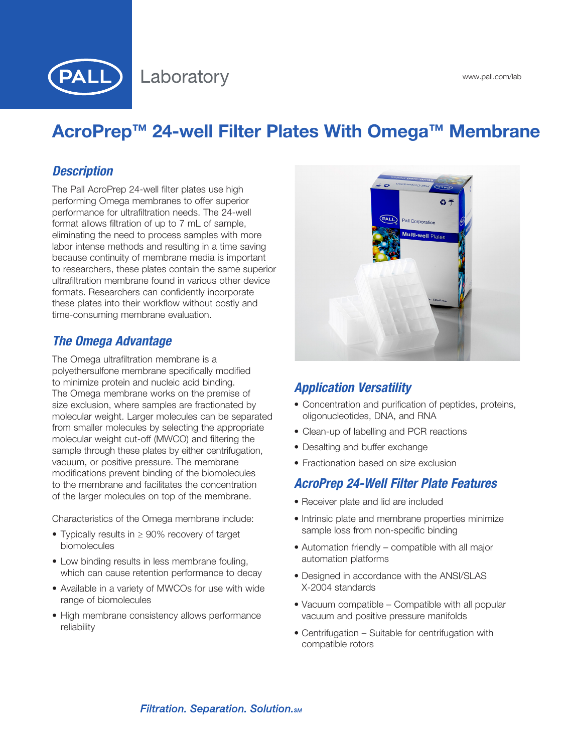

# AcroPrep™ 24-well Filter Plates With Omega™ Membrane

## *Description*

The Pall AcroPrep 24-well filter plates use high performing Omega membranes to offer superior performance for ultrafiltration needs. The 24-well format allows filtration of up to 7 mL of sample, eliminating the need to process samples with more labor intense methods and resulting in a time saving because continuity of membrane media is important to researchers, these plates contain the same superior ultrafiltration membrane found in various other device formats. Researchers can confidently incorporate these plates into their workflow without costly and time-consuming membrane evaluation.

## *The Omega Advantage*

The Omega ultrafiltration membrane is a polyethersulfone membrane specifically modified to minimize protein and nucleic acid binding. The Omega membrane works on the premise of size exclusion, where samples are fractionated by molecular weight. Larger molecules can be separated from smaller molecules by selecting the appropriate molecular weight cut-off (MWCO) and filtering the sample through these plates by either centrifugation, vacuum, or positive pressure. The membrane modifications prevent binding of the biomolecules to the membrane and facilitates the concentration of the larger molecules on top of the membrane.

Characteristics of the Omega membrane include:

- • Typically results in ≥ 90% recovery of target biomolecules
- Low binding results in less membrane fouling, which can cause retention performance to decay
- Available in a variety of MWCOs for use with wide range of biomolecules
- High membrane consistency allows performance reliability



# *Application Versatility*

- Concentration and purification of peptides, proteins, oligonucleotides, DNA, and RNA
- Clean-up of labelling and PCR reactions
- Desalting and buffer exchange
- Fractionation based on size exclusion

## *AcroPrep 24-Well Filter Plate Features*

- Receiver plate and lid are included
- Intrinsic plate and membrane properties minimize sample loss from non-specific binding
- Automation friendly compatible with all major automation platforms
- Designed in accordance with the ANSI/SLAS X-2004 standards
- Vacuum compatible Compatible with all popular vacuum and positive pressure manifolds
- Centrifugation Suitable for centrifugation with compatible rotors